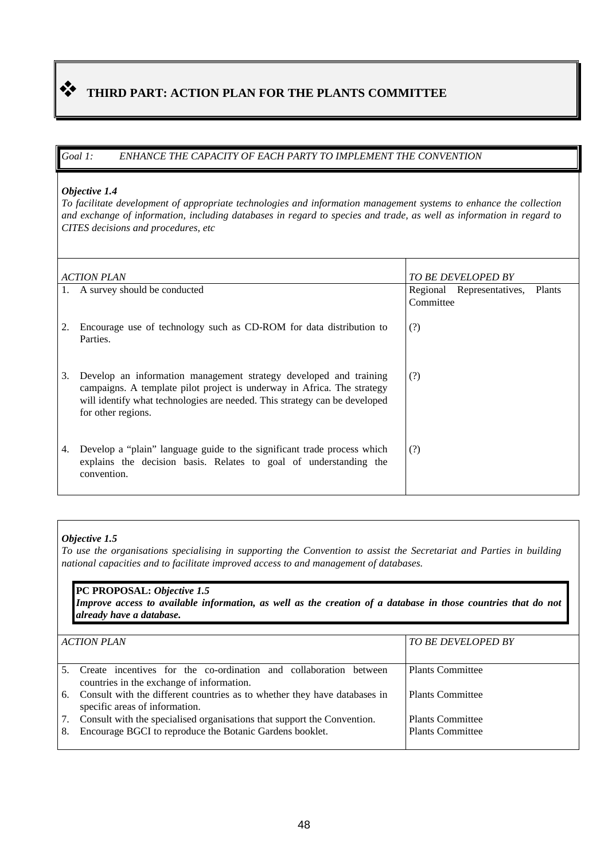# THIRD PART: ACTION PLAN FOR THE PLANTS COMMITTEE

### *Goal 1: ENHANCE THE CAPACITY OF EACH PARTY TO IMPLEMENT THE CONVENTION*

#### *Objective 1.4*

*To facilitate development of appropriate technologies and information management systems to enhance the collection and exchange of information, including databases in regard to species and trade, as well as information in regard to CITES decisions and procedures, etc*

| <b>ACTION PLAN</b>                                                                                                                                                                                                                                     | <b>TO BE DEVELOPED BY</b>                               |
|--------------------------------------------------------------------------------------------------------------------------------------------------------------------------------------------------------------------------------------------------------|---------------------------------------------------------|
| 1. A survey should be conducted                                                                                                                                                                                                                        | Regional Representatives,<br><b>Plants</b><br>Committee |
| Encourage use of technology such as CD-ROM for data distribution to<br>Parties.                                                                                                                                                                        | (?)                                                     |
| Develop an information management strategy developed and training<br>3.<br>campaigns. A template pilot project is underway in Africa. The strategy<br>will identify what technologies are needed. This strategy can be developed<br>for other regions. | (?)                                                     |
| Develop a "plain" language guide to the significant trade process which<br>4.<br>explains the decision basis. Relates to goal of understanding the<br>convention.                                                                                      | (?)                                                     |

#### *Objective 1.5*

*To use the organisations specialising in supporting the Convention to assist the Secretariat and Parties in building national capacities and to facilitate improved access to and management of databases.*

#### **PC PROPOSAL:** *Objective 1.5*

*Improve access to available information, as well as the creation of a database in those countries that do not already have a database.*

|    | <b>ACTION PLAN</b>                                                                                             | TO BE DEVELOPED BY      |
|----|----------------------------------------------------------------------------------------------------------------|-------------------------|
|    | Create incentives for the co-ordination and collaboration between<br>countries in the exchange of information. | <b>Plants Committee</b> |
| 6. | Consult with the different countries as to whether they have databases in<br>specific areas of information.    | <b>Plants Committee</b> |
| 7. | Consult with the specialised organisations that support the Convention.                                        | <b>Plants Committee</b> |
| 8. | Encourage BGCI to reproduce the Botanic Gardens booklet.                                                       | <b>Plants Committee</b> |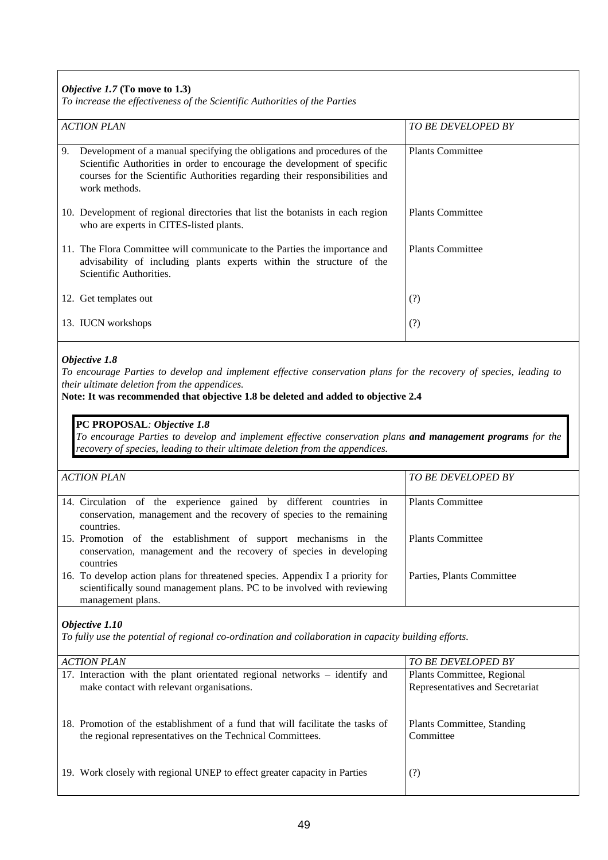## *Objective 1.7* **(To move to 1.3)**

*To increase the effectiveness of the Scientific Authorities of the Parties*

| $\sim$ and case are effectiveness of the setempte rimited mes of                                                          |                                                                                                                                                                                                                                     |                           |
|---------------------------------------------------------------------------------------------------------------------------|-------------------------------------------------------------------------------------------------------------------------------------------------------------------------------------------------------------------------------------|---------------------------|
| <b>ACTION PLAN</b>                                                                                                        |                                                                                                                                                                                                                                     | <b>TO BE DEVELOPED BY</b> |
| 9.<br>work methods.                                                                                                       | Development of a manual specifying the obligations and procedures of the<br>Scientific Authorities in order to encourage the development of specific<br>courses for the Scientific Authorities regarding their responsibilities and | <b>Plants Committee</b>   |
| 10. Development of regional directories that list the botanists in each region<br>who are experts in CITES-listed plants. |                                                                                                                                                                                                                                     | <b>Plants Committee</b>   |
| 11. The Flora Committee will communicate to the Parties the importance and<br>Scientific Authorities.                     | advisability of including plants experts within the structure of the                                                                                                                                                                | <b>Plants Committee</b>   |
| 12. Get templates out                                                                                                     |                                                                                                                                                                                                                                     | (?)                       |
| 13. IUCN workshops                                                                                                        |                                                                                                                                                                                                                                     | (?)                       |

#### *Objective 1.8*

*To encourage Parties to develop and implement effective conservation plans for the recovery of species, leading to their ultimate deletion from the appendices.*

**Note: It was recommended that objective 1.8 be deleted and added to objective 2.4**

## **PC PROPOSAL***: Objective 1.8*

*To encourage Parties to develop and implement effective conservation plans and management programs for the recovery of species, leading to their ultimate deletion from the appendices.*

| <b>ACTION PLAN</b>                                                                                                                                                            | <b>TO BE DEVELOPED BY</b> |
|-------------------------------------------------------------------------------------------------------------------------------------------------------------------------------|---------------------------|
| 14. Circulation of the experience gained by different countries in<br>conservation, management and the recovery of species to the remaining<br>countries.                     | <b>Plants Committee</b>   |
| 15. Promotion of the establishment of support mechanisms in the<br>conservation, management and the recovery of species in developing<br>countries                            | <b>Plants Committee</b>   |
| 16. To develop action plans for threatened species. Appendix I a priority for<br>scientifically sound management plans. PC to be involved with reviewing<br>management plans. | Parties, Plants Committee |

#### *Objective 1.10*

*To fully use the potential of regional co-ordination and collaboration in capacity building efforts.*

| <b>ACTION PLAN</b>                                                             | TO BE DEVELOPED BY              |
|--------------------------------------------------------------------------------|---------------------------------|
| 17. Interaction with the plant orientated regional networks – identify and     | Plants Committee, Regional      |
| make contact with relevant organisations.                                      | Representatives and Secretariat |
| 18. Promotion of the establishment of a fund that will facilitate the tasks of | Plants Committee, Standing      |
| the regional representatives on the Technical Committees.                      | Committee                       |
| 19. Work closely with regional UNEP to effect greater capacity in Parties      | (?)                             |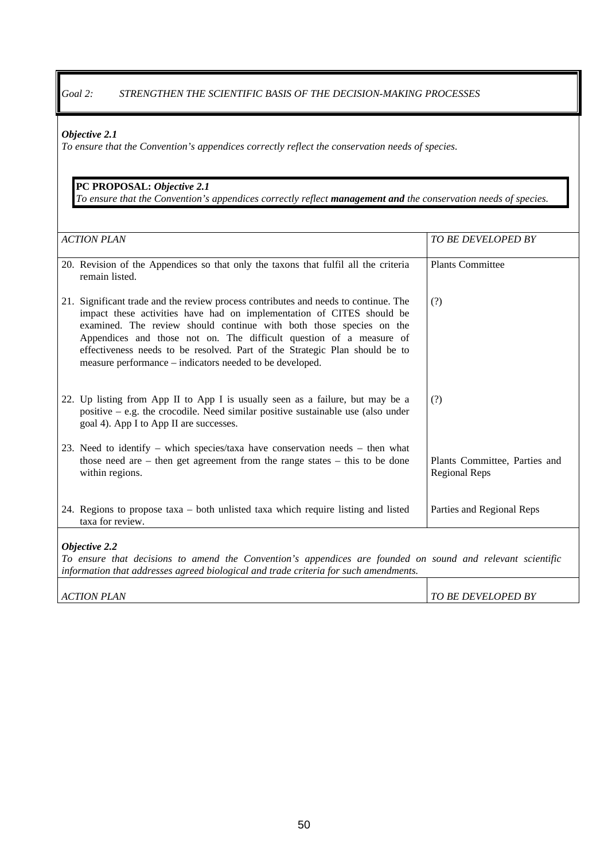## *Goal 2: STRENGTHEN THE SCIENTIFIC BASIS OF THE DECISION-MAKING PROCESSES*

#### *Objective 2.1*

*To ensure that the Convention's appendices correctly reflect the conservation needs of species.*

## **PC PROPOSAL:** *Objective 2.1*

*To ensure that the Convention's appendices correctly reflect management and the conservation needs of species.*

| <b>ACTION PLAN</b>                                                                                                                                                                                                                                                                                                                                                                                                                                    | TO BE DEVELOPED BY                             |  |
|-------------------------------------------------------------------------------------------------------------------------------------------------------------------------------------------------------------------------------------------------------------------------------------------------------------------------------------------------------------------------------------------------------------------------------------------------------|------------------------------------------------|--|
| 20. Revision of the Appendices so that only the taxons that fulfil all the criteria<br>remain listed.                                                                                                                                                                                                                                                                                                                                                 | <b>Plants Committee</b>                        |  |
| 21. Significant trade and the review process contributes and needs to continue. The<br>impact these activities have had on implementation of CITES should be<br>examined. The review should continue with both those species on the<br>Appendices and those not on. The difficult question of a measure of<br>effectiveness needs to be resolved. Part of the Strategic Plan should be to<br>measure performance – indicators needed to be developed. | (?)                                            |  |
| 22. Up listing from App II to App I is usually seen as a failure, but may be a<br>positive – e.g. the crocodile. Need similar positive sustainable use (also under<br>goal 4). App I to App II are successes.                                                                                                                                                                                                                                         | (?)                                            |  |
| 23. Need to identify – which species/taxa have conservation needs – then what<br>those need are $-$ then get agreement from the range states $-$ this to be done<br>within regions.                                                                                                                                                                                                                                                                   | Plants Committee, Parties and<br>Regional Reps |  |
| 24. Regions to propose taxa - both unlisted taxa which require listing and listed<br>taxa for review.                                                                                                                                                                                                                                                                                                                                                 | Parties and Regional Reps                      |  |
| Objective 2.2<br>To ensure that decisions to amend the Convention's appendices are founded on sound and relevant scientific                                                                                                                                                                                                                                                                                                                           |                                                |  |
| information that addresses agreed biological and trade criteria for such amendments.                                                                                                                                                                                                                                                                                                                                                                  |                                                |  |
| <b>ACTION PLAN</b>                                                                                                                                                                                                                                                                                                                                                                                                                                    | <b>TO BE DEVELOPED BY</b>                      |  |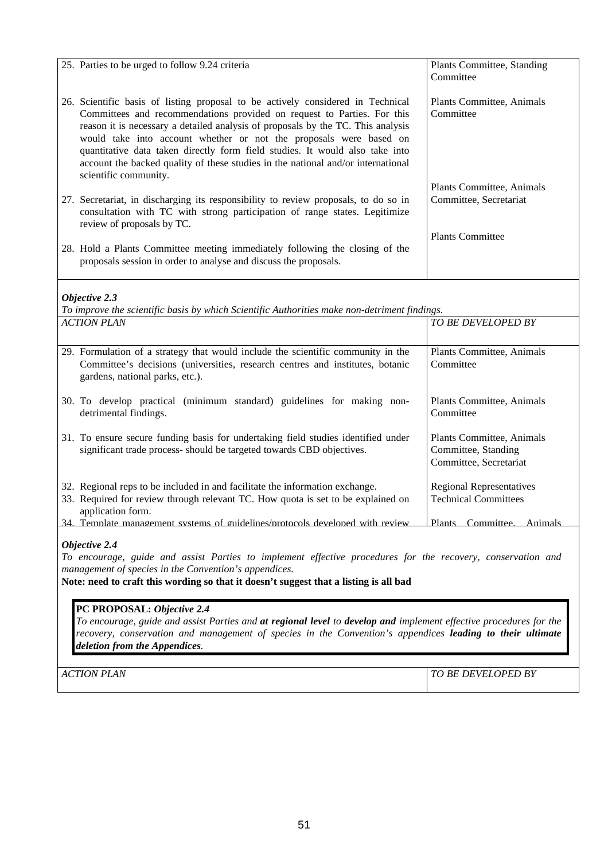| 25. Parties to be urged to follow 9.24 criteria                                                                                                                                                                                                                                                                                                                                                                                                                                                                   | Plants Committee, Standing<br>Committee                                    |  |
|-------------------------------------------------------------------------------------------------------------------------------------------------------------------------------------------------------------------------------------------------------------------------------------------------------------------------------------------------------------------------------------------------------------------------------------------------------------------------------------------------------------------|----------------------------------------------------------------------------|--|
| 26. Scientific basis of listing proposal to be actively considered in Technical<br>Committees and recommendations provided on request to Parties. For this<br>reason it is necessary a detailed analysis of proposals by the TC. This analysis<br>would take into account whether or not the proposals were based on<br>quantitative data taken directly form field studies. It would also take into<br>account the backed quality of these studies in the national and/or international<br>scientific community. | Plants Committee, Animals<br>Committee                                     |  |
| 27. Secretariat, in discharging its responsibility to review proposals, to do so in<br>consultation with TC with strong participation of range states. Legitimize<br>review of proposals by TC.                                                                                                                                                                                                                                                                                                                   | Plants Committee, Animals<br>Committee, Secretariat                        |  |
| 28. Hold a Plants Committee meeting immediately following the closing of the<br>proposals session in order to analyse and discuss the proposals.                                                                                                                                                                                                                                                                                                                                                                  | <b>Plants Committee</b>                                                    |  |
| Objective 2.3                                                                                                                                                                                                                                                                                                                                                                                                                                                                                                     |                                                                            |  |
| To improve the scientific basis by which Scientific Authorities make non-detriment findings.<br><b>ACTION PLAN</b>                                                                                                                                                                                                                                                                                                                                                                                                | TO BE DEVELOPED BY                                                         |  |
|                                                                                                                                                                                                                                                                                                                                                                                                                                                                                                                   |                                                                            |  |
| 29. Formulation of a strategy that would include the scientific community in the<br>Committee's decisions (universities, research centres and institutes, botanic<br>gardens, national parks, etc.).                                                                                                                                                                                                                                                                                                              | Plants Committee, Animals<br>Committee                                     |  |
| 30. To develop practical (minimum standard) guidelines for making non-<br>detrimental findings.                                                                                                                                                                                                                                                                                                                                                                                                                   | Plants Committee, Animals<br>Committee                                     |  |
| 31. To ensure secure funding basis for undertaking field studies identified under<br>significant trade process- should be targeted towards CBD objectives.                                                                                                                                                                                                                                                                                                                                                        | Plants Committee, Animals<br>Committee, Standing<br>Committee, Secretariat |  |
| 32. Regional reps to be included in and facilitate the information exchange.<br>33. Required for review through relevant TC. How quota is set to be explained on<br>application form.                                                                                                                                                                                                                                                                                                                             | <b>Regional Representatives</b><br><b>Technical Committees</b>             |  |
| Template management systems of guidelines/protocols developed with review<br>34                                                                                                                                                                                                                                                                                                                                                                                                                                   | Plants Committee Animals                                                   |  |
| Objective 2.4<br>To encourage, guide and assist Parties to implement effective procedures for the recovery, conservation and<br>management of species in the Convention's appendices.<br>Note: need to craft this wording so that it doesn't suggest that a listing is all bad                                                                                                                                                                                                                                    |                                                                            |  |
| PC PROPOSAL: Objective 2.4<br>To encourage, guide and assist Parties and at regional level to develop and implement effective procedures for the<br>recovery, conservation and management of species in the Convention's appendices leading to their ultimate<br>deletion from the Appendices.                                                                                                                                                                                                                    |                                                                            |  |

*ACTION PLAN TO BE DEVELOPED BY*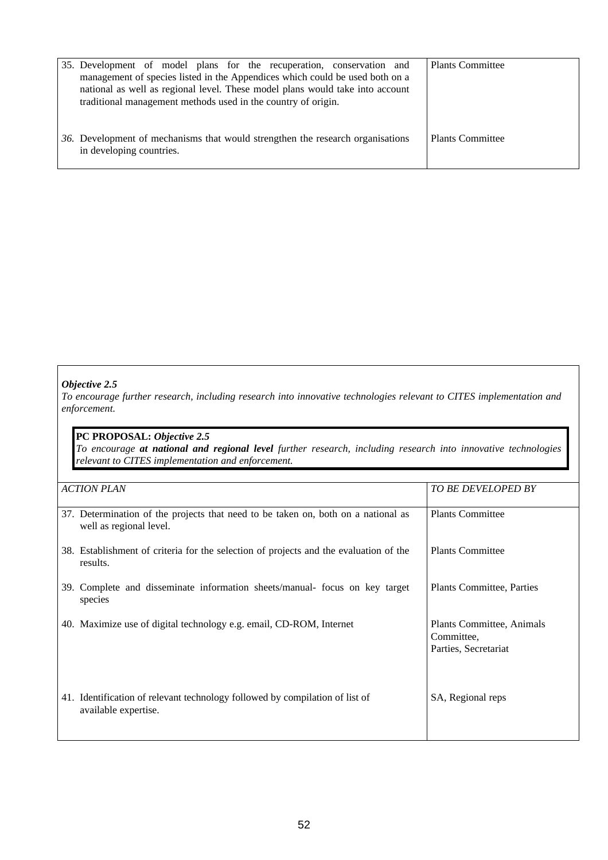| 35. Development of model plans for the recuperation, conservation and<br>management of species listed in the Appendices which could be used both on a<br>national as well as regional level. These model plans would take into account<br>traditional management methods used in the country of origin. | <b>Plants Committee</b> |
|---------------------------------------------------------------------------------------------------------------------------------------------------------------------------------------------------------------------------------------------------------------------------------------------------------|-------------------------|
| 36. Development of mechanisms that would strengthen the research organisations<br>in developing countries.                                                                                                                                                                                              | <b>Plants Committee</b> |

#### *Objective 2.5*

*To encourage further research, including research into innovative technologies relevant to CITES implementation and enforcement.*

## **PC PROPOSAL:** *Objective 2.5*

*To encourage at national and regional level further research, including research into innovative technologies relevant to CITES implementation and enforcement.*

| <b>ACTION PLAN</b>                                                                                           | <b>TO BE DEVELOPED BY</b>                                       |
|--------------------------------------------------------------------------------------------------------------|-----------------------------------------------------------------|
| 37. Determination of the projects that need to be taken on, both on a national as<br>well as regional level. | <b>Plants Committee</b>                                         |
| 38. Establishment of criteria for the selection of projects and the evaluation of the<br>results.            | <b>Plants Committee</b>                                         |
| 39. Complete and disseminate information sheets/manual- focus on key target<br>species                       | <b>Plants Committee, Parties</b>                                |
| 40. Maximize use of digital technology e.g. email, CD-ROM, Internet                                          | Plants Committee, Animals<br>Committee,<br>Parties, Secretariat |
| 41. Identification of relevant technology followed by compilation of list of<br>available expertise.         | SA, Regional reps                                               |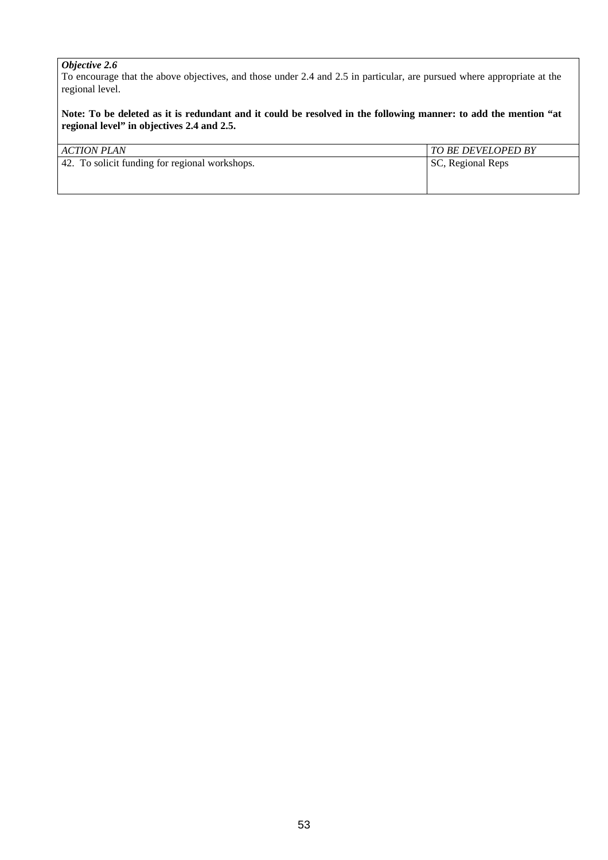## *Objective 2.6*

To encourage that the above objectives, and those under 2.4 and 2.5 in particular, are pursued where appropriate at the regional level.

**Note: To be deleted as it is redundant and it could be resolved in the following manner: to add the mention "at regional level" in objectives 2.4 and 2.5.**

| ACTION PLAN                                    | TO BE DEVELOPED BY |
|------------------------------------------------|--------------------|
| 42. To solicit funding for regional workshops. | SC, Regional Reps  |
|                                                |                    |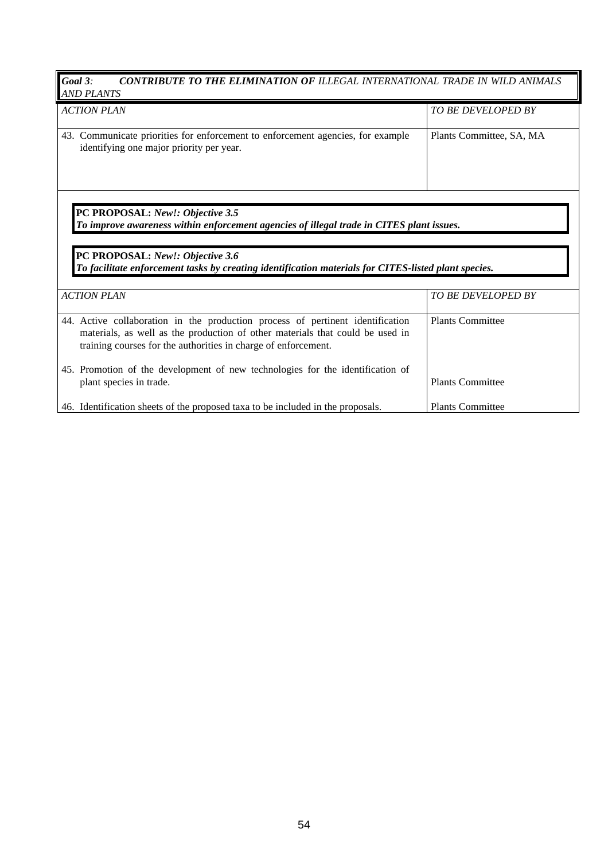| Goal 3:<br>CONTRIBUTE TO THE ELIMINATION OF ILLEGAL INTERNATIONAL TRADE IN WILD ANIMALS<br><b>AND PLANTS</b>                                                                                                                                                             |                           |  |
|--------------------------------------------------------------------------------------------------------------------------------------------------------------------------------------------------------------------------------------------------------------------------|---------------------------|--|
| <b>ACTION PLAN</b>                                                                                                                                                                                                                                                       | <b>TO BE DEVELOPED BY</b> |  |
| 43. Communicate priorities for enforcement to enforcement agencies, for example<br>identifying one major priority per year.                                                                                                                                              | Plants Committee, SA, MA  |  |
|                                                                                                                                                                                                                                                                          |                           |  |
| PC PROPOSAL: New!: Objective 3.5<br>To improve awareness within enforcement agencies of illegal trade in CITES plant issues.<br>PC PROPOSAL: New!: Objective 3.6<br>To facilitate enforcement tasks by creating identification materials for CITES-listed plant species. |                           |  |
| <b>ACTION PLAN</b>                                                                                                                                                                                                                                                       | TO BE DEVELOPED BY        |  |
| 44. Active collaboration in the production process of pertinent identification<br>materials, as well as the production of other materials that could be used in<br>training courses for the authorities in charge of enforcement.                                        | <b>Plants Committee</b>   |  |
| 45. Promotion of the development of new technologies for the identification of<br>plant species in trade.                                                                                                                                                                | <b>Plants Committee</b>   |  |
|                                                                                                                                                                                                                                                                          |                           |  |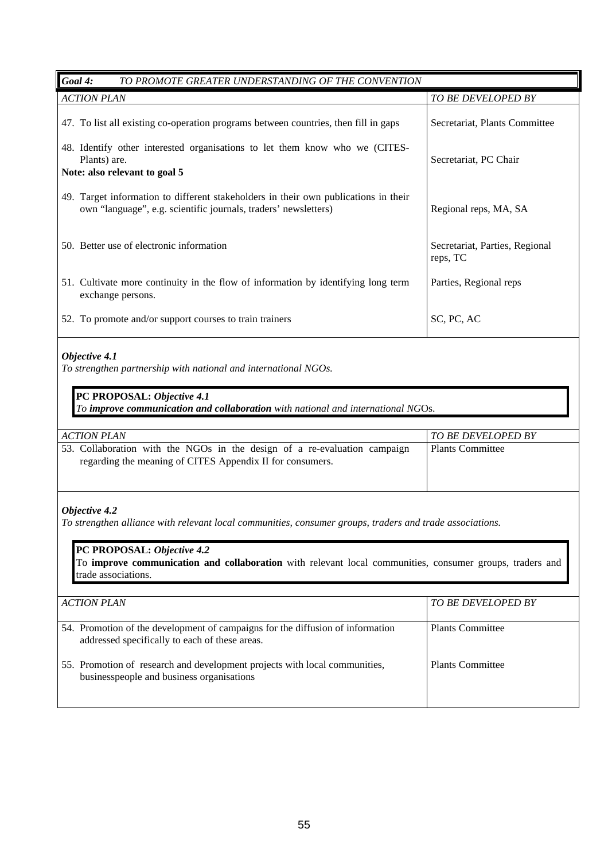| Goal 4:<br>TO PROMOTE GREATER UNDERSTANDING OF THE CONVENTION                                                                                                                                      |                                            |  |
|----------------------------------------------------------------------------------------------------------------------------------------------------------------------------------------------------|--------------------------------------------|--|
| <b>ACTION PLAN</b>                                                                                                                                                                                 | TO BE DEVELOPED BY                         |  |
| 47. To list all existing co-operation programs between countries, then fill in gaps                                                                                                                | Secretariat, Plants Committee              |  |
| 48. Identify other interested organisations to let them know who we (CITES-<br>Plants) are.<br>Note: also relevant to goal 5                                                                       | Secretariat, PC Chair                      |  |
| 49. Target information to different stakeholders in their own publications in their<br>own "language", e.g. scientific journals, traders' newsletters)                                             |                                            |  |
|                                                                                                                                                                                                    | Regional reps, MA, SA                      |  |
| 50. Better use of electronic information                                                                                                                                                           | Secretariat, Parties, Regional<br>reps, TC |  |
| 51. Cultivate more continuity in the flow of information by identifying long term<br>exchange persons.                                                                                             | Parties, Regional reps                     |  |
| 52. To promote and/or support courses to train trainers                                                                                                                                            | SC, PC, AC                                 |  |
| Objective 4.1<br>To strengthen partnership with national and international NGOs.<br>PC PROPOSAL: Objective 4.1<br>To improve communication and collaboration with national and international NGOs. |                                            |  |
| <b>ACTION PLAN</b>                                                                                                                                                                                 | TO BE DEVELOPED BY                         |  |
| 53. Collaboration with the NGOs in the design of a re-evaluation campaign<br>regarding the meaning of CITES Appendix II for consumers.                                                             | <b>Plants Committee</b>                    |  |
| Objective 4.2<br>To strengthen alliance with relevant local communities, consumer groups, traders and trade associations.                                                                          |                                            |  |
| PC PROPOSAL: Objective 4.2<br>To improve communication and collaboration with relevant local communities, consumer groups, traders and<br>trade associations.                                      |                                            |  |
| <b>ACTION PLAN</b>                                                                                                                                                                                 | TO BE DEVELOPED BY                         |  |
| 54. Promotion of the development of campaigns for the diffusion of information<br>addressed specifically to each of these areas.                                                                   | <b>Plants Committee</b>                    |  |
| 55. Promotion of research and development projects with local communities,<br>businesspeople and business organisations                                                                            | <b>Plants Committee</b>                    |  |
|                                                                                                                                                                                                    |                                            |  |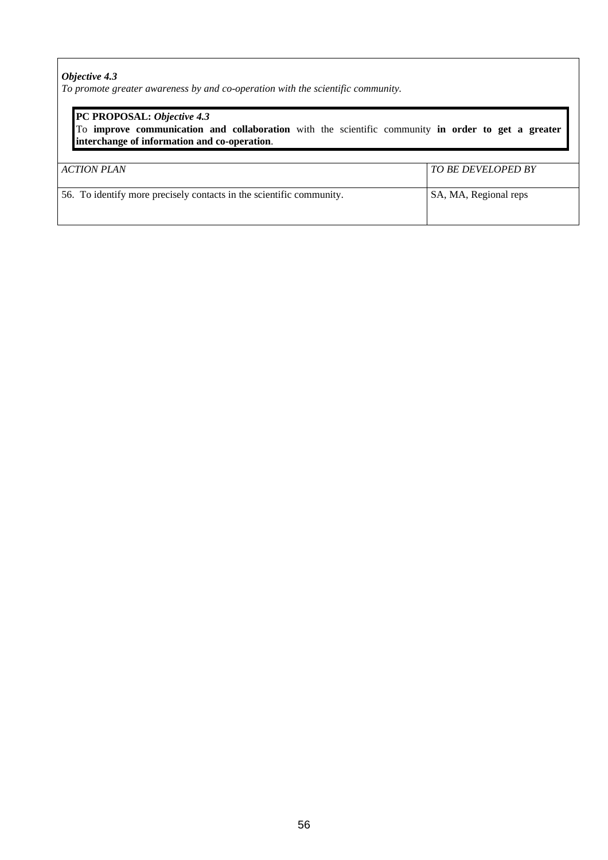## *Objective 4.3*

*To promote greater awareness by and co-operation with the scientific community.*

| PC PROPOSAL: Objective 4.3<br>To improve communication and collaboration with the scientific community in order to get a greater<br>interchange of information and co-operation. |                           |
|----------------------------------------------------------------------------------------------------------------------------------------------------------------------------------|---------------------------|
| ACTION PLAN                                                                                                                                                                      | <b>TO BE DEVELOPED BY</b> |
| 56. To identify more precisely contacts in the scientific community.                                                                                                             | SA, MA, Regional reps     |